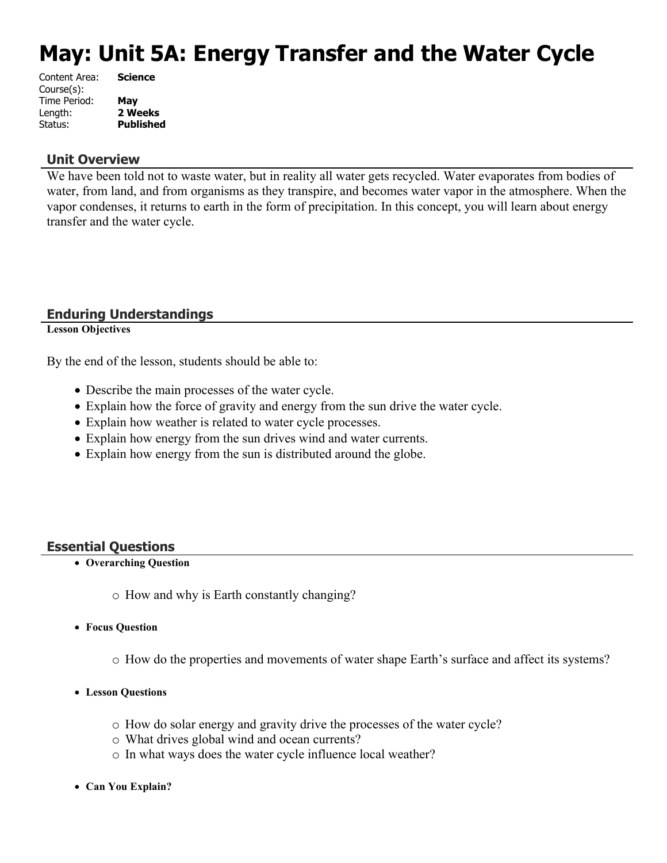# **May: Unit 5A: Energy Transfer and the Water Cycle**

| Content Area: | <b>Science</b>   |
|---------------|------------------|
| Course(s):    |                  |
| Time Period:  | May              |
| Length:       | 2 Weeks          |
| Status:       | <b>Published</b> |
|               |                  |

#### **Unit Overview**

We have been told not to waste water, but in reality all water gets recycled. Water evaporates from bodies of water, from land, and from organisms as they transpire, and becomes water vapor in the atmosphere. When the vapor condenses, it returns to earth in the form of precipitation. In this concept, you will learn about energy transfer and the water cycle.

## **Enduring Understandings**

**Lesson Objectives**

By the end of the lesson, students should be able to:

- Describe the main processes of the water cycle.
- Explain how the force of gravity and energy from the sun drive the water cycle.
- Explain how weather is related to water cycle processes.
- Explain how energy from the sun drives wind and water currents.
- Explain how energy from the sun is distributed around the globe.

## **Essential Questions**

- **Overarching Question**
	- o How and why is Earth constantly changing?
- **Focus Question**
	- o How do the properties and movements of water shape Earth's surface and affect its systems?
- **Lesson Questions**
	- o How do solar energy and gravity drive the processes of the water cycle?
	- o What drives global wind and ocean currents?
	- o In what ways does the water cycle influence local weather?
- **Can You Explain?**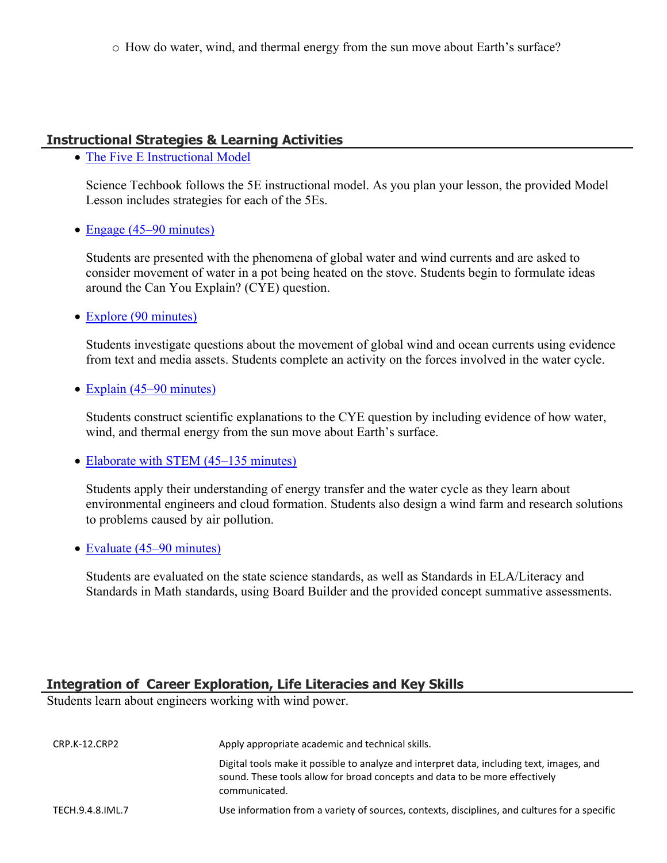## **Instructional Strategies & Learning Activities**

• [The Five E Instructional Model](https://app.discoveryeducation.com/learn/techbook/units/2fa811d9-aafb-44e5-be32-68c440cbb155/concepts/b7466bf3-30e2-43df-a26c-cf179b55ab29/lesson/sections/9172c7d6-a4da-4b8c-9a36-d6ec6c594c96#b97df851-3594-4909-a45f-bbf6c9fe48c5)

Science Techbook follows the 5E instructional model. As you plan your lesson, the provided Model Lesson includes strategies for each of the 5Es.

• [Engage \(45–90 minutes\)](https://app.discoveryeducation.com/learn/techbook/units/2fa811d9-aafb-44e5-be32-68c440cbb155/concepts/b7466bf3-30e2-43df-a26c-cf179b55ab29/lesson/sections/9172c7d6-a4da-4b8c-9a36-d6ec6c594c96#0e52f26b-ed97-4b89-a12a-0093a7781a34)

Students are presented with the phenomena of global water and wind currents and are asked to consider movement of water in a pot being heated on the stove. Students begin to formulate ideas around the Can You Explain? (CYE) question.

• [Explore \(90 minutes\)](https://app.discoveryeducation.com/learn/techbook/units/2fa811d9-aafb-44e5-be32-68c440cbb155/concepts/b7466bf3-30e2-43df-a26c-cf179b55ab29/lesson/sections/9172c7d6-a4da-4b8c-9a36-d6ec6c594c96#9e077930-25bd-4733-9c7b-d88ddd648b5f)

Students investigate questions about the movement of global wind and ocean currents using evidence from text and media assets. Students complete an activity on the forces involved in the water cycle.

• [Explain \(45–90 minutes\)](https://app.discoveryeducation.com/learn/techbook/units/2fa811d9-aafb-44e5-be32-68c440cbb155/concepts/b7466bf3-30e2-43df-a26c-cf179b55ab29/lesson/sections/9172c7d6-a4da-4b8c-9a36-d6ec6c594c96#9db0c888-8d61-4b6f-a5f4-587cc682f446)

Students construct scientific explanations to the CYE question by including evidence of how water, wind, and thermal energy from the sun move about Earth's surface.

• [Elaborate with STEM \(45–135 minutes\)](https://app.discoveryeducation.com/learn/techbook/units/2fa811d9-aafb-44e5-be32-68c440cbb155/concepts/b7466bf3-30e2-43df-a26c-cf179b55ab29/lesson/sections/9172c7d6-a4da-4b8c-9a36-d6ec6c594c96#fb613b47-df19-4218-a2fe-24485bcf743e)

Students apply their understanding of energy transfer and the water cycle as they learn about environmental engineers and cloud formation. Students also design a wind farm and research solutions to problems caused by air pollution.

• [Evaluate \(45–90 minutes\)](https://app.discoveryeducation.com/learn/techbook/units/2fa811d9-aafb-44e5-be32-68c440cbb155/concepts/b7466bf3-30e2-43df-a26c-cf179b55ab29/lesson/sections/9172c7d6-a4da-4b8c-9a36-d6ec6c594c96#2a9552ff-9a1e-4d5d-8c0e-34c8c258bfb6)

Students are evaluated on the state science standards, as well as Standards in ELA/Literacy and Standards in Math standards, using Board Builder and the provided concept summative assessments.

## **Integration of Career Exploration, Life Literacies and Key Skills**

Students learn about engineers working with wind power.

| CRP.K-12.CRP2    | Apply appropriate academic and technical skills.                                                                                                                                          |
|------------------|-------------------------------------------------------------------------------------------------------------------------------------------------------------------------------------------|
|                  | Digital tools make it possible to analyze and interpret data, including text, images, and<br>sound. These tools allow for broad concepts and data to be more effectively<br>communicated. |
| TECH.9.4.8.IML.7 | Use information from a variety of sources, contexts, disciplines, and cultures for a specific                                                                                             |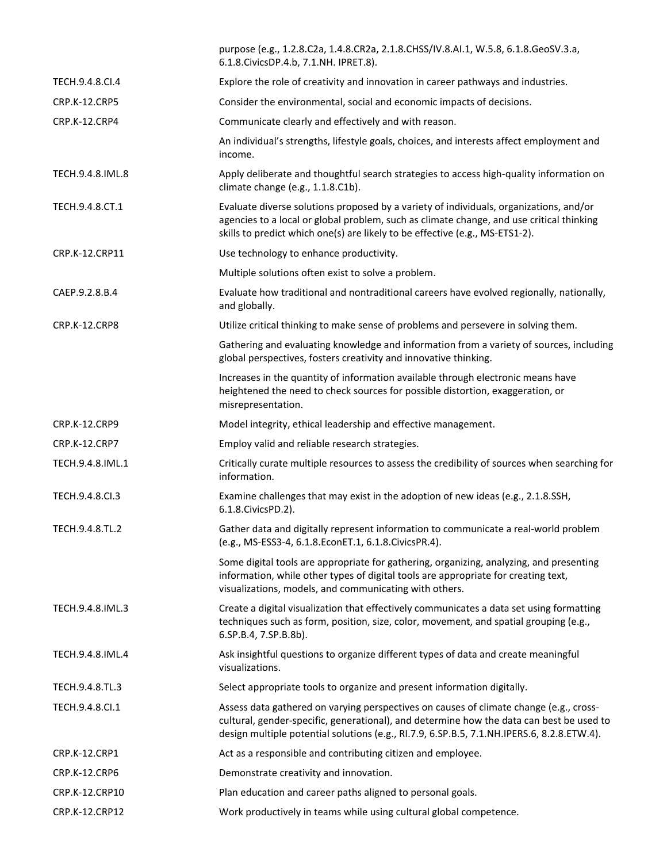|                      | purpose (e.g., 1.2.8.C2a, 1.4.8.CR2a, 2.1.8.CHSS/IV.8.AI.1, W.5.8, 6.1.8.GeoSV.3.a,<br>6.1.8. Civics DP.4.b, 7.1. NH. IPRET.8).                                                                                                                                                  |
|----------------------|----------------------------------------------------------------------------------------------------------------------------------------------------------------------------------------------------------------------------------------------------------------------------------|
| TECH.9.4.8.CI.4      | Explore the role of creativity and innovation in career pathways and industries.                                                                                                                                                                                                 |
| <b>CRP.K-12.CRP5</b> | Consider the environmental, social and economic impacts of decisions.                                                                                                                                                                                                            |
| CRP.K-12.CRP4        | Communicate clearly and effectively and with reason.                                                                                                                                                                                                                             |
|                      | An individual's strengths, lifestyle goals, choices, and interests affect employment and<br>income.                                                                                                                                                                              |
| TECH.9.4.8.IML.8     | Apply deliberate and thoughtful search strategies to access high-quality information on<br>climate change (e.g., 1.1.8.C1b).                                                                                                                                                     |
| TECH.9.4.8.CT.1      | Evaluate diverse solutions proposed by a variety of individuals, organizations, and/or<br>agencies to a local or global problem, such as climate change, and use critical thinking<br>skills to predict which one(s) are likely to be effective (e.g., MS-ETS1-2).               |
| CRP.K-12.CRP11       | Use technology to enhance productivity.                                                                                                                                                                                                                                          |
|                      | Multiple solutions often exist to solve a problem.                                                                                                                                                                                                                               |
| CAEP.9.2.8.B.4       | Evaluate how traditional and nontraditional careers have evolved regionally, nationally,<br>and globally.                                                                                                                                                                        |
| CRP.K-12.CRP8        | Utilize critical thinking to make sense of problems and persevere in solving them.                                                                                                                                                                                               |
|                      | Gathering and evaluating knowledge and information from a variety of sources, including<br>global perspectives, fosters creativity and innovative thinking.                                                                                                                      |
|                      | Increases in the quantity of information available through electronic means have<br>heightened the need to check sources for possible distortion, exaggeration, or<br>misrepresentation.                                                                                         |
| <b>CRP.K-12.CRP9</b> | Model integrity, ethical leadership and effective management.                                                                                                                                                                                                                    |
| CRP.K-12.CRP7        | Employ valid and reliable research strategies.                                                                                                                                                                                                                                   |
| TECH.9.4.8.IML.1     | Critically curate multiple resources to assess the credibility of sources when searching for<br>information.                                                                                                                                                                     |
| TECH.9.4.8.Cl.3      | Examine challenges that may exist in the adoption of new ideas (e.g., 2.1.8.SSH,<br>6.1.8. Civics PD. 2).                                                                                                                                                                        |
| TECH.9.4.8.TL.2      | Gather data and digitally represent information to communicate a real-world problem<br>(e.g., MS-ESS3-4, 6.1.8.EconET.1, 6.1.8.CivicsPR.4).                                                                                                                                      |
|                      | Some digital tools are appropriate for gathering, organizing, analyzing, and presenting<br>information, while other types of digital tools are appropriate for creating text,<br>visualizations, models, and communicating with others.                                          |
| TECH.9.4.8.IML.3     | Create a digital visualization that effectively communicates a data set using formatting<br>techniques such as form, position, size, color, movement, and spatial grouping (e.g.,<br>6.SP.B.4, 7.SP.B.8b).                                                                       |
| TECH.9.4.8.IML.4     | Ask insightful questions to organize different types of data and create meaningful<br>visualizations.                                                                                                                                                                            |
| TECH.9.4.8.TL.3      | Select appropriate tools to organize and present information digitally.                                                                                                                                                                                                          |
| TECH.9.4.8.Cl.1      | Assess data gathered on varying perspectives on causes of climate change (e.g., cross-<br>cultural, gender-specific, generational), and determine how the data can best be used to<br>design multiple potential solutions (e.g., RI.7.9, 6.SP.B.5, 7.1.NH.IPERS.6, 8.2.8.ETW.4). |
| CRP.K-12.CRP1        | Act as a responsible and contributing citizen and employee.                                                                                                                                                                                                                      |
| CRP.K-12.CRP6        | Demonstrate creativity and innovation.                                                                                                                                                                                                                                           |
| CRP.K-12.CRP10       | Plan education and career paths aligned to personal goals.                                                                                                                                                                                                                       |
| CRP.K-12.CRP12       | Work productively in teams while using cultural global competence.                                                                                                                                                                                                               |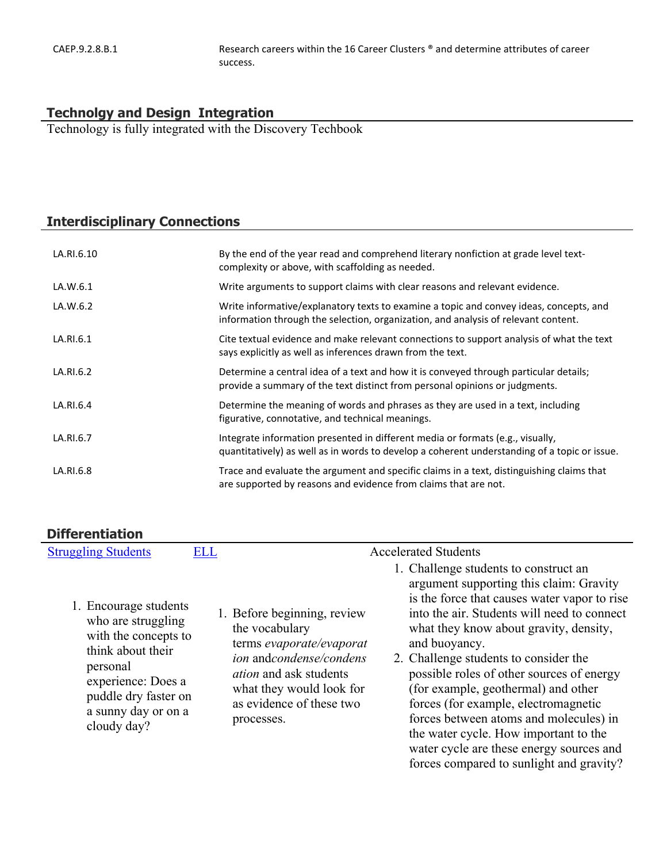## **Technolgy and Design Integration**

Technology is fully integrated with the Discovery Techbook

# **Interdisciplinary Connections**

| LA.RI.6.10 | By the end of the year read and comprehend literary nonfiction at grade level text-<br>complexity or above, with scaffolding as needed.                                        |
|------------|--------------------------------------------------------------------------------------------------------------------------------------------------------------------------------|
| LA.W.6.1   | Write arguments to support claims with clear reasons and relevant evidence.                                                                                                    |
| LA.W.6.2   | Write informative/explanatory texts to examine a topic and convey ideas, concepts, and<br>information through the selection, organization, and analysis of relevant content.   |
| LA.RI.6.1  | Cite textual evidence and make relevant connections to support analysis of what the text<br>says explicitly as well as inferences drawn from the text.                         |
| LA.RI.6.2  | Determine a central idea of a text and how it is conveyed through particular details;<br>provide a summary of the text distinct from personal opinions or judgments.           |
| LA.RI.6.4  | Determine the meaning of words and phrases as they are used in a text, including<br>figurative, connotative, and technical meanings.                                           |
| LA.RI.6.7  | Integrate information presented in different media or formats (e.g., visually,<br>quantitatively) as well as in words to develop a coherent understanding of a topic or issue. |
| LA.RI.6.8  | Trace and evaluate the argument and specific claims in a text, distinguishing claims that<br>are supported by reasons and evidence from claims that are not.                   |

# **Differentiation**

| <b>Struggling Students</b>                                                                                                                                                               | <b>ELL</b> | <b>Accelerated Students</b>                                                                                                                                                                                                                                                                                                                                                                                                                                                                                                                                                                                                                                                                                                                                                                               |  |
|------------------------------------------------------------------------------------------------------------------------------------------------------------------------------------------|------------|-----------------------------------------------------------------------------------------------------------------------------------------------------------------------------------------------------------------------------------------------------------------------------------------------------------------------------------------------------------------------------------------------------------------------------------------------------------------------------------------------------------------------------------------------------------------------------------------------------------------------------------------------------------------------------------------------------------------------------------------------------------------------------------------------------------|--|
| 1. Encourage students<br>who are struggling<br>with the concepts to<br>think about their<br>personal<br>experience: Does a<br>puddle dry faster on<br>a sunny day or on a<br>cloudy day? |            | 1. Challenge students to construct an<br>argument supporting this claim: Gravity<br>is the force that causes water vapor to rise<br>into the air. Students will need to connect<br>1. Before beginning, review<br>the vocabulary<br>what they know about gravity, density,<br>terms evaporate/evaporat<br>and buoyancy.<br>ion andcondense/condens<br>2. Challenge students to consider the<br>possible roles of other sources of energy<br><i>ation</i> and ask students<br>(for example, geothermal) and other<br>what they would look for<br>as evidence of these two<br>forces (for example, electromagnetic<br>forces between atoms and molecules) in<br>processes.<br>the water cycle. How important to the<br>water cycle are these energy sources and<br>forces compared to sunlight and gravity? |  |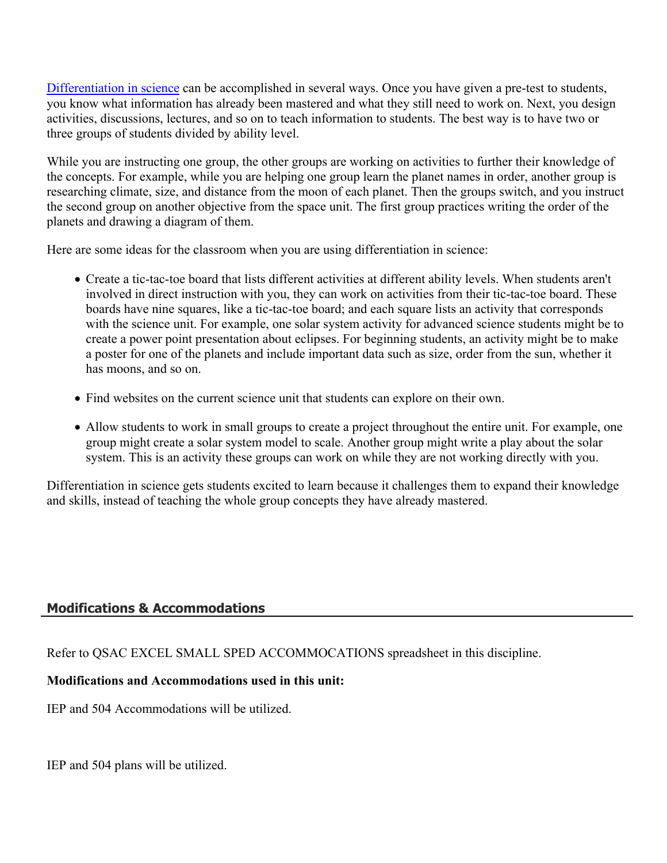[Differentiation in science](http://www.brighthubeducation.com/teaching-gifted-students/65181-differentiation-techniques-and-activities-in-the-classroom-for-gifted-students/) can be accomplished in several ways. Once you have given a pre-test to students, you know what information has already been mastered and what they still need to work on. Next, you design activities, discussions, lectures, and so on to teach information to students. The best way is to have two or three groups of students divided by ability level.

While you are instructing one group, the other groups are working on activities to further their knowledge of the concepts. For example, while you are helping one group learn the planet names in order, another group is researching climate, size, and distance from the moon of each planet. Then the groups switch, and you instruct the second group on another objective from the space unit. The first group practices writing the order of the planets and drawing a diagram of them.

Here are some ideas for the classroom when you are using differentiation in science:

- Create a tic-tac-toe board that lists different activities at different ability levels. When students aren't involved in direct instruction with you, they can work on activities from their tic-tac-toe board. These boards have nine squares, like a tic-tac-toe board; and each square lists an activity that corresponds with the science unit. For example, one solar system activity for advanced science students might be to create a power point presentation about eclipses. For beginning students, an activity might be to make a poster for one of the planets and include important data such as size, order from the sun, whether it has moons, and so on.
- Find websites on the current science unit that students can explore on their own.
- Allow students to work in small groups to create a project throughout the entire unit. For example, one group might create a solar system model to scale. Another group might write a play about the solar system. This is an activity these groups can work on while they are not working directly with you.

Differentiation in science gets students excited to learn because it challenges them to expand their knowledge and skills, instead of teaching the whole group concepts they have already mastered.

## **Modifications & Accommodations**

Refer to QSAC EXCEL SMALL SPED ACCOMMOCATIONS spreadsheet in this discipline.

## **Modifications and Accommodations used in this unit:**

IEP and 504 Accommodations will be utilized.

IEP and 504 plans will be utilized.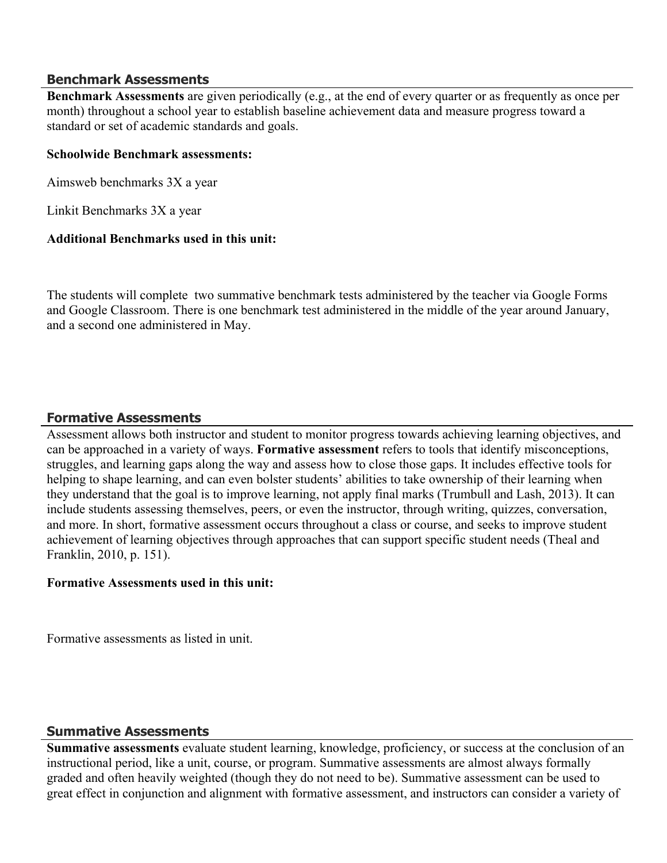#### **Benchmark Assessments**

**Benchmark Assessments** are given periodically (e.g., at the end of every quarter or as frequently as once per month) throughout a school year to establish baseline achievement data and measure progress toward a standard or set of academic standards and goals.

#### **Schoolwide Benchmark assessments:**

Aimsweb benchmarks 3X a year

Linkit Benchmarks 3X a year

#### **Additional Benchmarks used in this unit:**

The students will complete two summative benchmark tests administered by the teacher via Google Forms and Google Classroom. There is one benchmark test administered in the middle of the year around January, and a second one administered in May.

## **Formative Assessments**

Assessment allows both instructor and student to monitor progress towards achieving learning objectives, and can be approached in a variety of ways. **Formative assessment** refers to tools that identify misconceptions, struggles, and learning gaps along the way and assess how to close those gaps. It includes effective tools for helping to shape learning, and can even bolster students' abilities to take ownership of their learning when they understand that the goal is to improve learning, not apply final marks (Trumbull and Lash, 2013). It can include students assessing themselves, peers, or even the instructor, through writing, quizzes, conversation, and more. In short, formative assessment occurs throughout a class or course, and seeks to improve student achievement of learning objectives through approaches that can support specific student needs (Theal and Franklin, 2010, p. 151).

## **Formative Assessments used in this unit:**

Formative assessments as listed in unit.

## **Summative Assessments**

**Summative assessments** evaluate student learning, knowledge, proficiency, or success at the conclusion of an instructional period, like a unit, course, or program. Summative assessments are almost always formally graded and often heavily weighted (though they do not need to be). Summative assessment can be used to great effect in conjunction and alignment with formative assessment, and instructors can consider a variety of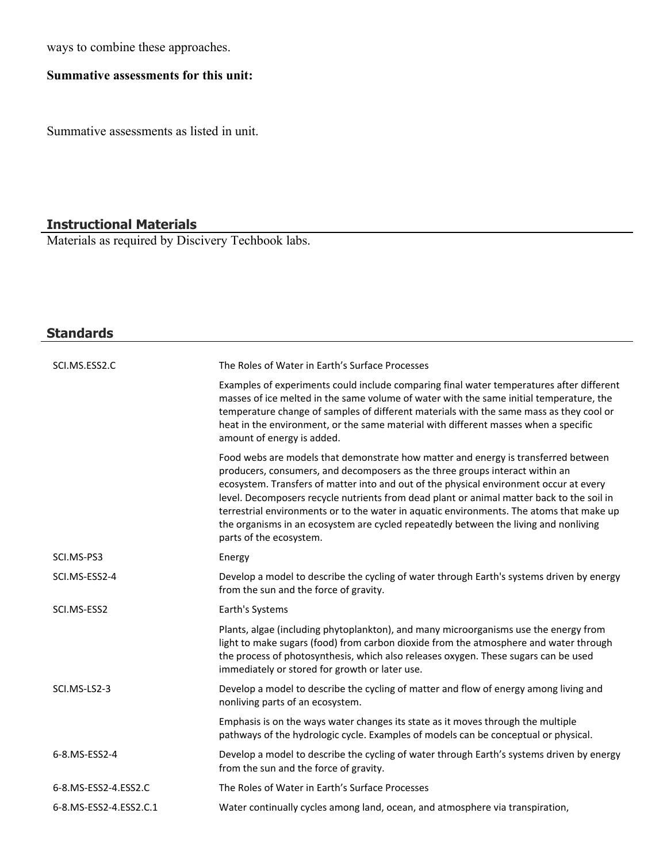ways to combine these approaches.

# **Summative assessments for this unit:**

Summative assessments as listed in unit.

# **Instructional Materials**

Materials as required by Discivery Techbook labs.

| <b>Standards</b>       |                                                                                                                                                                                                                                                                                                                                                                                                                                                                                                                                                                          |
|------------------------|--------------------------------------------------------------------------------------------------------------------------------------------------------------------------------------------------------------------------------------------------------------------------------------------------------------------------------------------------------------------------------------------------------------------------------------------------------------------------------------------------------------------------------------------------------------------------|
|                        |                                                                                                                                                                                                                                                                                                                                                                                                                                                                                                                                                                          |
| SCI.MS.ESS2.C          | The Roles of Water in Earth's Surface Processes                                                                                                                                                                                                                                                                                                                                                                                                                                                                                                                          |
|                        | Examples of experiments could include comparing final water temperatures after different<br>masses of ice melted in the same volume of water with the same initial temperature, the<br>temperature change of samples of different materials with the same mass as they cool or<br>heat in the environment, or the same material with different masses when a specific<br>amount of energy is added.                                                                                                                                                                      |
|                        | Food webs are models that demonstrate how matter and energy is transferred between<br>producers, consumers, and decomposers as the three groups interact within an<br>ecosystem. Transfers of matter into and out of the physical environment occur at every<br>level. Decomposers recycle nutrients from dead plant or animal matter back to the soil in<br>terrestrial environments or to the water in aquatic environments. The atoms that make up<br>the organisms in an ecosystem are cycled repeatedly between the living and nonliving<br>parts of the ecosystem. |
| SCI.MS-PS3             | Energy                                                                                                                                                                                                                                                                                                                                                                                                                                                                                                                                                                   |
| SCI.MS-ESS2-4          | Develop a model to describe the cycling of water through Earth's systems driven by energy<br>from the sun and the force of gravity.                                                                                                                                                                                                                                                                                                                                                                                                                                      |
| SCI.MS-ESS2            | Earth's Systems                                                                                                                                                                                                                                                                                                                                                                                                                                                                                                                                                          |
|                        | Plants, algae (including phytoplankton), and many microorganisms use the energy from<br>light to make sugars (food) from carbon dioxide from the atmosphere and water through<br>the process of photosynthesis, which also releases oxygen. These sugars can be used<br>immediately or stored for growth or later use.                                                                                                                                                                                                                                                   |
| SCI.MS-LS2-3           | Develop a model to describe the cycling of matter and flow of energy among living and<br>nonliving parts of an ecosystem.                                                                                                                                                                                                                                                                                                                                                                                                                                                |
|                        | Emphasis is on the ways water changes its state as it moves through the multiple<br>pathways of the hydrologic cycle. Examples of models can be conceptual or physical.                                                                                                                                                                                                                                                                                                                                                                                                  |
| 6-8.MS-ESS2-4          | Develop a model to describe the cycling of water through Earth's systems driven by energy<br>from the sun and the force of gravity.                                                                                                                                                                                                                                                                                                                                                                                                                                      |
| 6-8.MS-ESS2-4.ESS2.C   | The Roles of Water in Earth's Surface Processes                                                                                                                                                                                                                                                                                                                                                                                                                                                                                                                          |
| 6-8.MS-ESS2-4.ESS2.C.1 | Water continually cycles among land, ocean, and atmosphere via transpiration,                                                                                                                                                                                                                                                                                                                                                                                                                                                                                            |